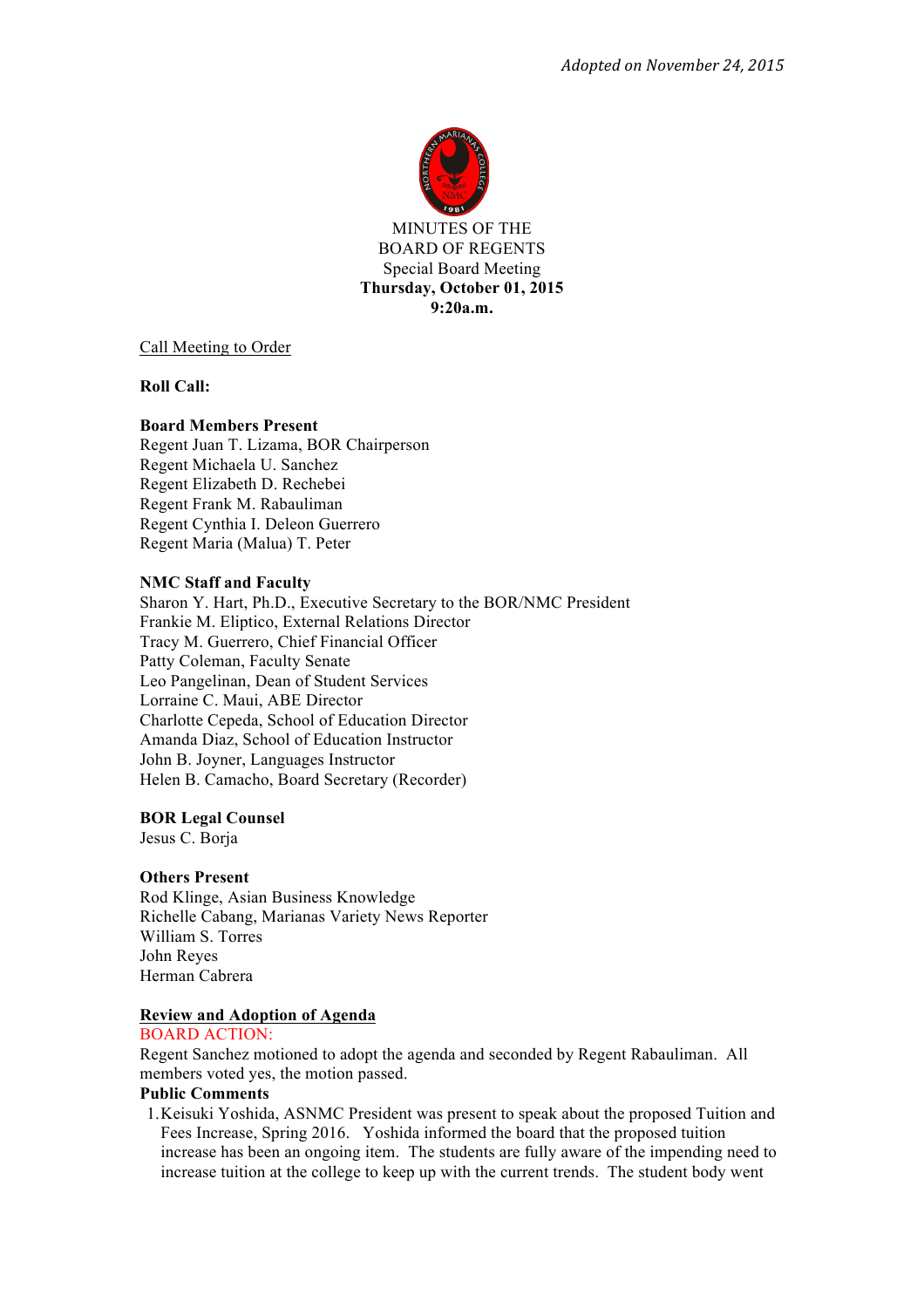

MINUTES OF THE BOARD OF REGENTS Special Board Meeting **Thursday, October 01, 2015 9:20a.m.**

Call Meeting to Order

**Roll Call:**

## **Board Members Present**

Regent Juan T. Lizama, BOR Chairperson Regent Michaela U. Sanchez Regent Elizabeth D. Rechebei Regent Frank M. Rabauliman Regent Cynthia I. Deleon Guerrero Regent Maria (Malua) T. Peter

#### **NMC Staff and Faculty**

Sharon Y. Hart, Ph.D., Executive Secretary to the BOR/NMC President Frankie M. Eliptico, External Relations Director Tracy M. Guerrero, Chief Financial Officer Patty Coleman, Faculty Senate Leo Pangelinan, Dean of Student Services Lorraine C. Maui, ABE Director Charlotte Cepeda, School of Education Director Amanda Diaz, School of Education Instructor John B. Joyner, Languages Instructor Helen B. Camacho, Board Secretary (Recorder)

# **BOR Legal Counsel**

Jesus C. Borja

#### **Others Present**

Rod Klinge, Asian Business Knowledge Richelle Cabang, Marianas Variety News Reporter William S. Torres John Reyes Herman Cabrera

#### **Review and Adoption of Agenda**

## BOARD ACTION:

Regent Sanchez motioned to adopt the agenda and seconded by Regent Rabauliman. All members voted yes, the motion passed.

#### **Public Comments**

1.Keisuki Yoshida, ASNMC President was present to speak about the proposed Tuition and Fees Increase, Spring 2016. Yoshida informed the board that the proposed tuition increase has been an ongoing item. The students are fully aware of the impending need to increase tuition at the college to keep up with the current trends. The student body went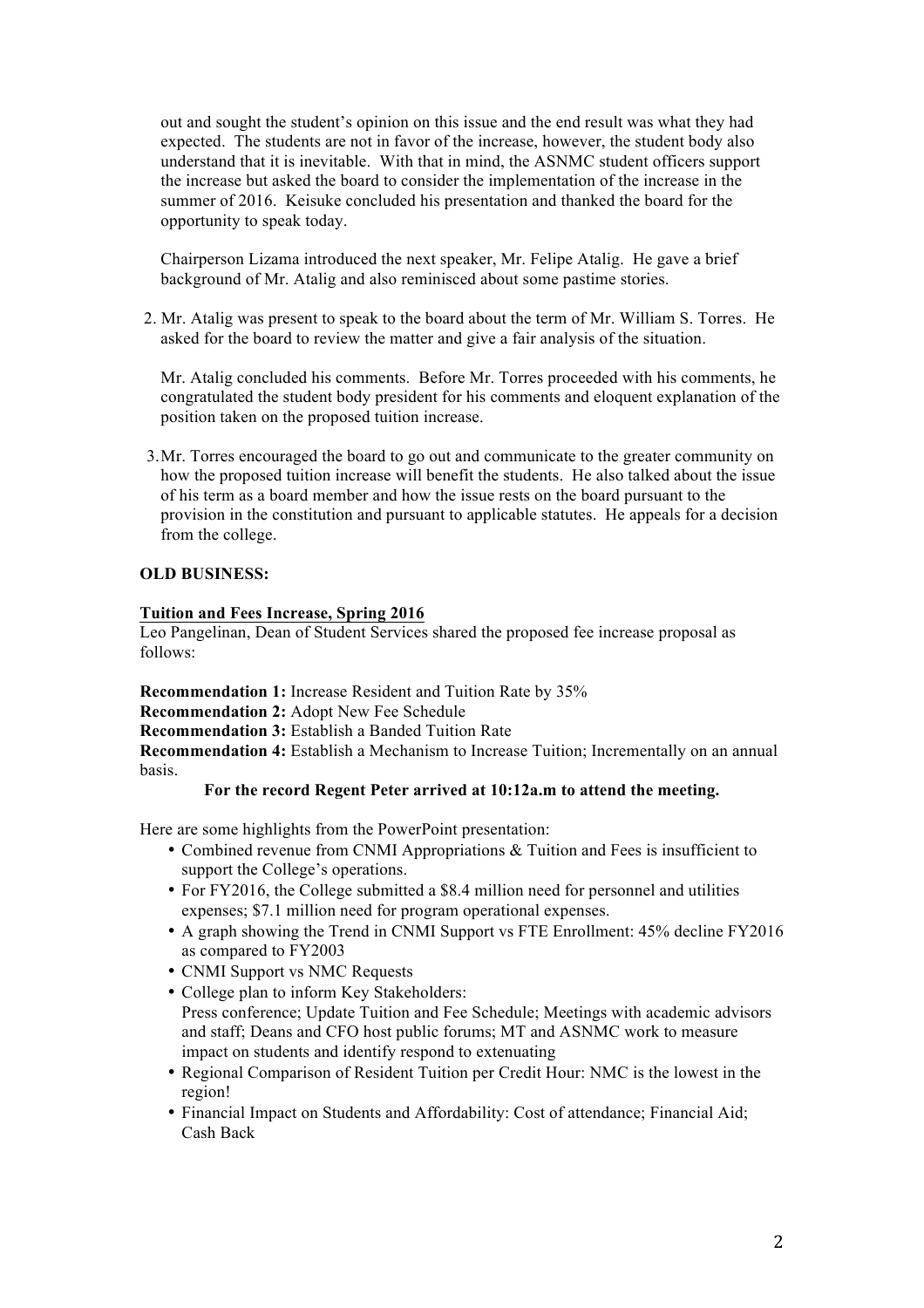out and sought the student's opinion on this issue and the end result was what they had expected. The students are not in favor of the increase, however, the student body also understand that it is inevitable. With that in mind, the ASNMC student officers support the increase but asked the board to consider the implementation of the increase in the summer of 2016. Keisuke concluded his presentation and thanked the board for the opportunity to speak today.

Chairperson Lizama introduced the next speaker, Mr. Felipe Atalig. He gave a brief background of Mr. Atalig and also reminisced about some pastime stories.

2. Mr. Atalig was present to speak to the board about the term of Mr. William S. Torres. He asked for the board to review the matter and give a fair analysis of the situation.

Mr. Atalig concluded his comments. Before Mr. Torres proceeded with his comments, he congratulated the student body president for his comments and eloquent explanation of the position taken on the proposed tuition increase.

3.Mr. Torres encouraged the board to go out and communicate to the greater community on how the proposed tuition increase will benefit the students. He also talked about the issue of his term as a board member and how the issue rests on the board pursuant to the provision in the constitution and pursuant to applicable statutes. He appeals for a decision from the college.

# **OLD BUSINESS:**

## **Tuition and Fees Increase, Spring 2016**

Leo Pangelinan, Dean of Student Services shared the proposed fee increase proposal as follows:

**Recommendation 1:** Increase Resident and Tuition Rate by 35%

**Recommendation 2:** Adopt New Fee Schedule

**Recommendation 3:** Establish a Banded Tuition Rate

**Recommendation 4:** Establish a Mechanism to Increase Tuition; Incrementally on an annual basis.

## **For the record Regent Peter arrived at 10:12a.m to attend the meeting.**

Here are some highlights from the PowerPoint presentation:

- Combined revenue from CNMI Appropriations & Tuition and Fees is insufficient to support the College's operations.
- For FY2016, the College submitted a \$8.4 million need for personnel and utilities expenses; \$7.1 million need for program operational expenses.
- A graph showing the Trend in CNMI Support vs FTE Enrollment: 45% decline FY2016 as compared to FY2003
- CNMI Support vs NMC Requests
- College plan to inform Key Stakeholders: Press conference; Update Tuition and Fee Schedule; Meetings with academic advisors and staff; Deans and CFO host public forums; MT and ASNMC work to measure impact on students and identify respond to extenuating
- Regional Comparison of Resident Tuition per Credit Hour: NMC is the lowest in the region!
- Financial Impact on Students and Affordability: Cost of attendance; Financial Aid; Cash Back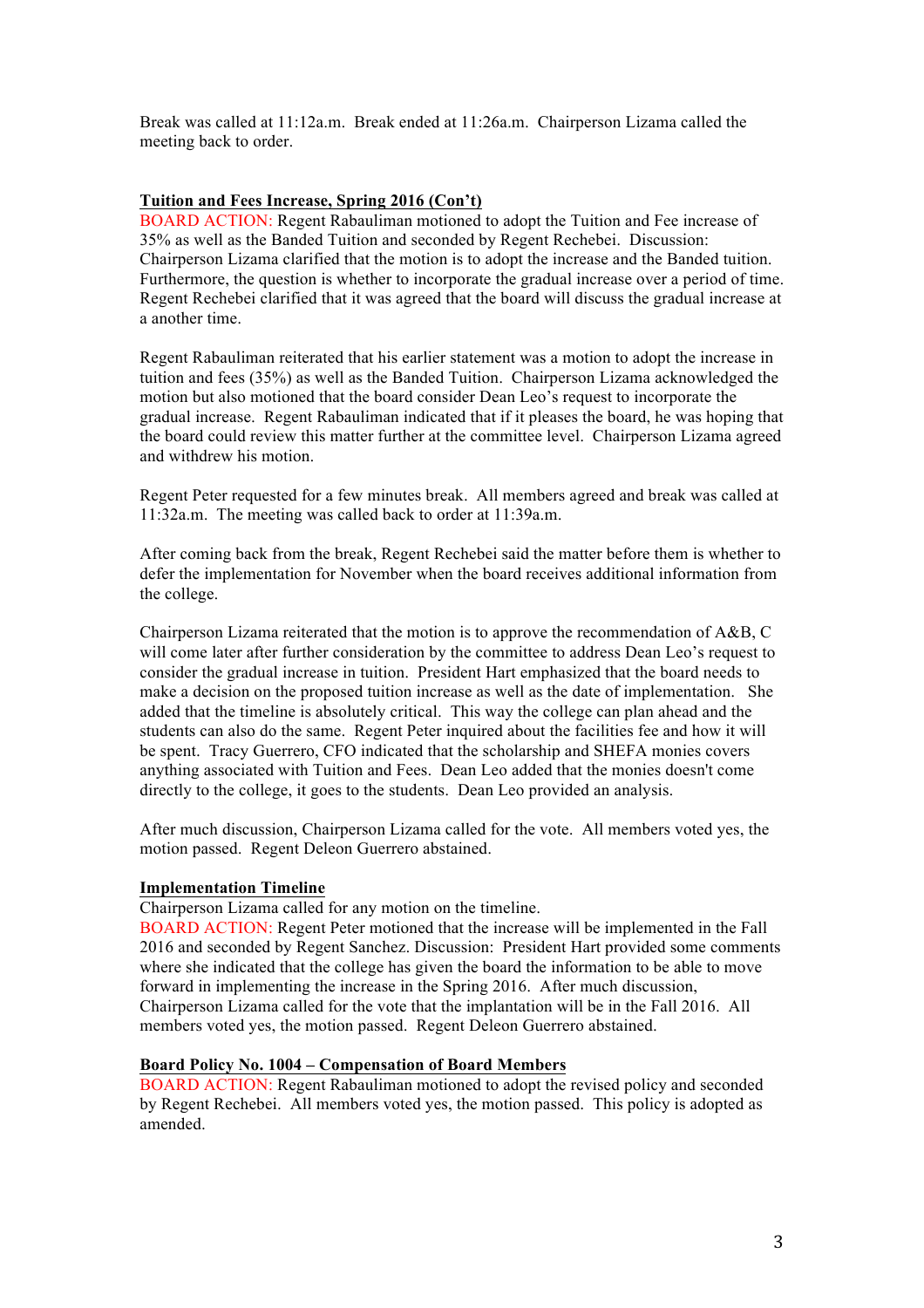Break was called at 11:12a.m. Break ended at 11:26a.m. Chairperson Lizama called the meeting back to order.

# **Tuition and Fees Increase, Spring 2016 (Con't)**

BOARD ACTION: Regent Rabauliman motioned to adopt the Tuition and Fee increase of 35% as well as the Banded Tuition and seconded by Regent Rechebei. Discussion: Chairperson Lizama clarified that the motion is to adopt the increase and the Banded tuition. Furthermore, the question is whether to incorporate the gradual increase over a period of time. Regent Rechebei clarified that it was agreed that the board will discuss the gradual increase at a another time.

Regent Rabauliman reiterated that his earlier statement was a motion to adopt the increase in tuition and fees (35%) as well as the Banded Tuition. Chairperson Lizama acknowledged the motion but also motioned that the board consider Dean Leo's request to incorporate the gradual increase. Regent Rabauliman indicated that if it pleases the board, he was hoping that the board could review this matter further at the committee level. Chairperson Lizama agreed and withdrew his motion.

Regent Peter requested for a few minutes break. All members agreed and break was called at 11:32a.m. The meeting was called back to order at 11:39a.m.

After coming back from the break, Regent Rechebei said the matter before them is whether to defer the implementation for November when the board receives additional information from the college.

Chairperson Lizama reiterated that the motion is to approve the recommendation of A&B, C will come later after further consideration by the committee to address Dean Leo's request to consider the gradual increase in tuition. President Hart emphasized that the board needs to make a decision on the proposed tuition increase as well as the date of implementation. She added that the timeline is absolutely critical. This way the college can plan ahead and the students can also do the same. Regent Peter inquired about the facilities fee and how it will be spent. Tracy Guerrero, CFO indicated that the scholarship and SHEFA monies covers anything associated with Tuition and Fees. Dean Leo added that the monies doesn't come directly to the college, it goes to the students. Dean Leo provided an analysis.

After much discussion, Chairperson Lizama called for the vote. All members voted yes, the motion passed. Regent Deleon Guerrero abstained.

# **Implementation Timeline**

Chairperson Lizama called for any motion on the timeline.

BOARD ACTION: Regent Peter motioned that the increase will be implemented in the Fall 2016 and seconded by Regent Sanchez. Discussion: President Hart provided some comments where she indicated that the college has given the board the information to be able to move forward in implementing the increase in the Spring 2016. After much discussion, Chairperson Lizama called for the vote that the implantation will be in the Fall 2016. All members voted yes, the motion passed. Regent Deleon Guerrero abstained.

# **Board Policy No. 1004 – Compensation of Board Members**

BOARD ACTION: Regent Rabauliman motioned to adopt the revised policy and seconded by Regent Rechebei. All members voted yes, the motion passed. This policy is adopted as amended.